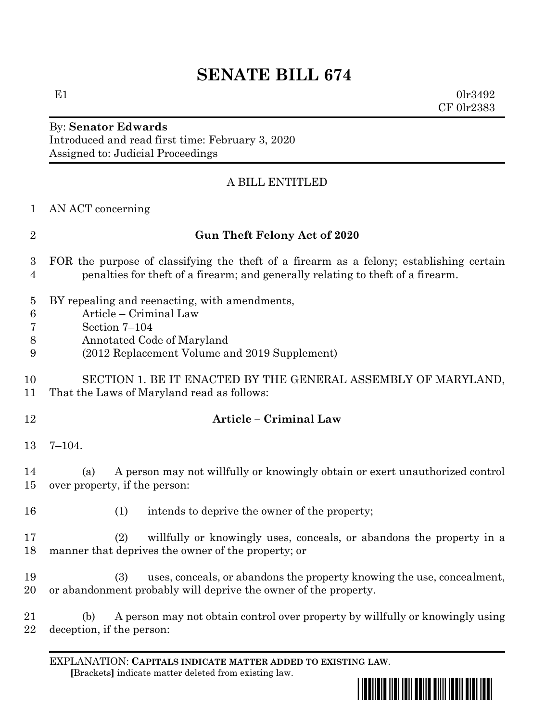# **SENATE BILL 674**

E1  $0 \text{lr} 3492$ CF 0lr2383

# By: **Senator Edwards** Introduced and read first time: February 3, 2020 Assigned to: Judicial Proceedings

# A BILL ENTITLED

| 1                                        | AN ACT concerning                                                                                                                                                            |
|------------------------------------------|------------------------------------------------------------------------------------------------------------------------------------------------------------------------------|
| $\overline{2}$                           | <b>Gun Theft Felony Act of 2020</b>                                                                                                                                          |
| 3<br>$\overline{4}$                      | FOR the purpose of classifying the theft of a firearm as a felony; establishing certain<br>penalties for the ft of a firearm; and generally relating to the ft of a firearm. |
| $\overline{5}$<br>$\,6\,$<br>7<br>8<br>9 | BY repealing and reenacting, with amendments,<br>Article – Criminal Law<br>Section 7-104<br>Annotated Code of Maryland<br>(2012 Replacement Volume and 2019 Supplement)      |
| 10<br>11                                 | SECTION 1. BE IT ENACTED BY THE GENERAL ASSEMBLY OF MARYLAND,<br>That the Laws of Maryland read as follows:                                                                  |
| 12                                       | <b>Article - Criminal Law</b>                                                                                                                                                |
| 13                                       | $7 - 104.$                                                                                                                                                                   |
| 14<br>15                                 | A person may not willfully or knowingly obtain or exert unauthorized control<br>(a)<br>over property, if the person:                                                         |
| 16                                       | intends to deprive the owner of the property;<br>(1)                                                                                                                         |
| 17<br>18                                 | willfully or knowingly uses, conceals, or abandons the property in a<br>(2)<br>manner that deprives the owner of the property; or                                            |
| 19<br>20                                 | uses, conceals, or abandons the property knowing the use, concealment,<br>(3)<br>or abandonment probably will deprive the owner of the property.                             |
| 21<br>22                                 | A person may not obtain control over property by willfully or knowingly using<br>(b)<br>deception, if the person:                                                            |

EXPLANATION: **CAPITALS INDICATE MATTER ADDED TO EXISTING LAW**.  **[**Brackets**]** indicate matter deleted from existing law.

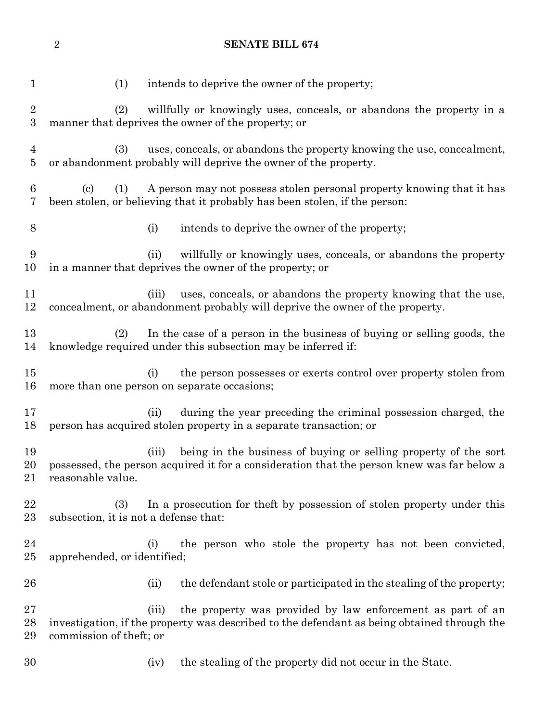(1) intends to deprive the owner of the property; (2) willfully or knowingly uses, conceals, or abandons the property in a manner that deprives the owner of the property; or (3) uses, conceals, or abandons the property knowing the use, concealment, or abandonment probably will deprive the owner of the property. (c) (1) A person may not possess stolen personal property knowing that it has been stolen, or believing that it probably has been stolen, if the person: (i) intends to deprive the owner of the property; (ii) willfully or knowingly uses, conceals, or abandons the property in a manner that deprives the owner of the property; or 11 (iii) uses, conceals, or abandons the property knowing that the use, concealment, or abandonment probably will deprive the owner of the property. (2) In the case of a person in the business of buying or selling goods, the knowledge required under this subsection may be inferred if: (i) the person possesses or exerts control over property stolen from more than one person on separate occasions; (ii) during the year preceding the criminal possession charged, the person has acquired stolen property in a separate transaction; or (iii) being in the business of buying or selling property of the sort possessed, the person acquired it for a consideration that the person knew was far below a reasonable value. (3) In a prosecution for theft by possession of stolen property under this subsection, it is not a defense that: (i) the person who stole the property has not been convicted, apprehended, or identified; 26 (ii) the defendant stole or participated in the stealing of the property; (iii) the property was provided by law enforcement as part of an investigation, if the property was described to the defendant as being obtained through the commission of theft; or (iv) the stealing of the property did not occur in the State.

**SENATE BILL 674**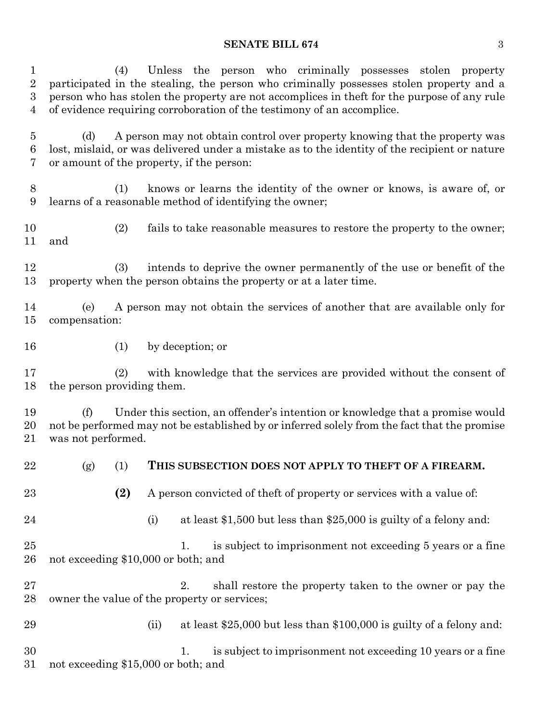## **SENATE BILL 674** 3

| $\mathbf{1}$<br>$\overline{2}$<br>$\boldsymbol{3}$<br>4 | Unless the person who criminally possesses stolen property<br>(4)<br>participated in the stealing, the person who criminally possesses stolen property and a<br>person who has stolen the property are not accomplices in the ft for the purpose of any rule<br>of evidence requiring corroboration of the testimony of an accomplice. |
|---------------------------------------------------------|----------------------------------------------------------------------------------------------------------------------------------------------------------------------------------------------------------------------------------------------------------------------------------------------------------------------------------------|
| $\overline{5}$<br>6<br>7                                | A person may not obtain control over property knowing that the property was<br>(d)<br>lost, mislaid, or was delivered under a mistake as to the identity of the recipient or nature<br>or amount of the property, if the person:                                                                                                       |
| 8<br>9                                                  | knows or learns the identity of the owner or knows, is aware of, or<br>(1)<br>learns of a reasonable method of identifying the owner;                                                                                                                                                                                                  |
| 10<br>11                                                | (2)<br>fails to take reasonable measures to restore the property to the owner;<br>and                                                                                                                                                                                                                                                  |
| 12<br>13                                                | intends to deprive the owner permanently of the use or benefit of the<br>(3)<br>property when the person obtains the property or at a later time.                                                                                                                                                                                      |
| 14<br>15                                                | A person may not obtain the services of another that are available only for<br>(e)<br>compensation:                                                                                                                                                                                                                                    |
| 16                                                      | by deception; or<br>(1)                                                                                                                                                                                                                                                                                                                |
| 17<br>18                                                | with knowledge that the services are provided without the consent of<br>(2)<br>the person providing them.                                                                                                                                                                                                                              |
| 19<br>20<br>21                                          | Under this section, an offender's intention or knowledge that a promise would<br>(f)<br>not be performed may not be established by or inferred solely from the fact that the promise<br>was not performed.                                                                                                                             |
| 22                                                      | THIS SUBSECTION DOES NOT APPLY TO THEFT OF A FIREARM.<br>(g)<br>(1)                                                                                                                                                                                                                                                                    |
| 23                                                      | (2)<br>A person convicted of theft of property or services with a value of:                                                                                                                                                                                                                                                            |
| 24                                                      | at least $$1,500$ but less than $$25,000$ is guilty of a felony and:<br>(i)                                                                                                                                                                                                                                                            |
| 25<br>26                                                | is subject to imprisonment not exceeding 5 years or a fine<br>1.<br>not exceeding \$10,000 or both; and                                                                                                                                                                                                                                |
| 27<br>28                                                | shall restore the property taken to the owner or pay the<br>2.<br>owner the value of the property or services;                                                                                                                                                                                                                         |
| 29                                                      | at least $$25,000$ but less than $$100,000$ is guilty of a felony and:<br>(ii)                                                                                                                                                                                                                                                         |
| 30<br>31                                                | is subject to imprisonment not exceeding 10 years or a fine<br>1.<br>not exceeding \$15,000 or both; and                                                                                                                                                                                                                               |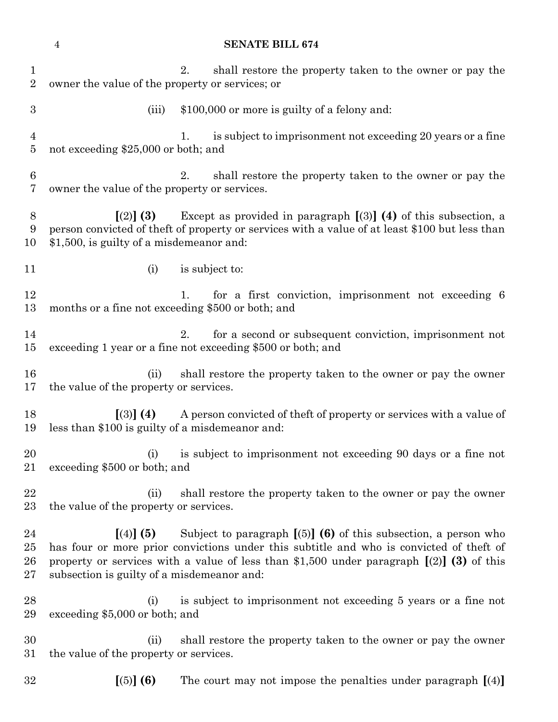**SENATE BILL 674** 2. shall restore the property taken to the owner or pay the owner the value of the property or services; or 3 (iii)  $$100,000$  or more is guilty of a felony and: 1. is subject to imprisonment not exceeding 20 years or a fine not exceeding \$25,000 or both; and 2. shall restore the property taken to the owner or pay the owner the value of the property or services. **[**(2)**] (3)** Except as provided in paragraph **[**(3)**] (4)** of this subsection, a person convicted of theft of property or services with a value of at least \$100 but less than \$1,500, is guilty of a misdemeanor and: 11 (i) is subject to: 12 1. for a first conviction, imprisonment not exceeding 6 months or a fine not exceeding \$500 or both; and 2. for a second or subsequent conviction, imprisonment not exceeding 1 year or a fine not exceeding \$500 or both; and (ii) shall restore the property taken to the owner or pay the owner the value of the property or services. **[**(3)**] (4)** A person convicted of theft of property or services with a value of less than \$100 is guilty of a misdemeanor and: (i) is subject to imprisonment not exceeding 90 days or a fine not exceeding \$500 or both; and (ii) shall restore the property taken to the owner or pay the owner the value of the property or services. **[**(4)**] (5)** Subject to paragraph **[**(5)**] (6)** of this subsection, a person who has four or more prior convictions under this subtitle and who is convicted of theft of property or services with a value of less than \$1,500 under paragraph **[**(2)**] (3)** of this subsection is guilty of a misdemeanor and: (i) is subject to imprisonment not exceeding 5 years or a fine not exceeding \$5,000 or both; and (ii) shall restore the property taken to the owner or pay the owner the value of the property or services. **[**(5)**] (6)** The court may not impose the penalties under paragraph **[**(4)**]**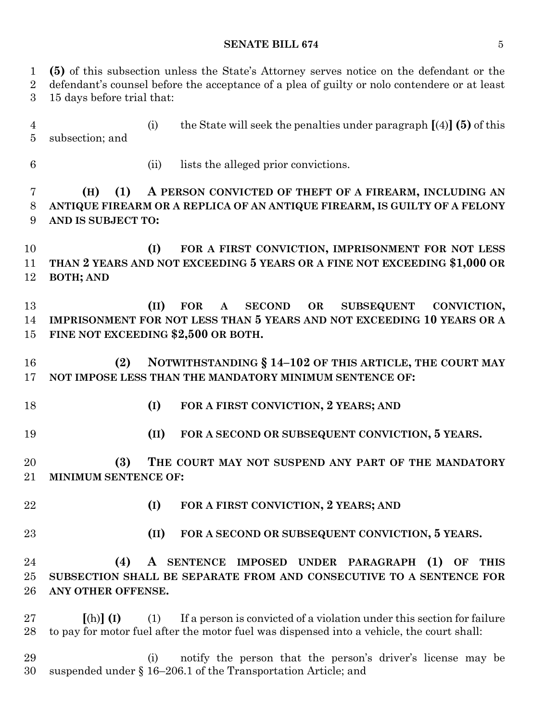#### **SENATE BILL 674** 5

 **(5)** of this subsection unless the State's Attorney serves notice on the defendant or the defendant's counsel before the acceptance of a plea of guilty or nolo contendere or at least 15 days before trial that: (i) the State will seek the penalties under paragraph **[**(4)**](5)** of this subsection; and (ii) lists the alleged prior convictions. **(H) (1) A PERSON CONVICTED OF THEFT OF A FIREARM, INCLUDING AN ANTIQUE FIREARM OR A REPLICA OF AN ANTIQUE FIREARM, IS GUILTY OF A FELONY AND IS SUBJECT TO: (I) FOR A FIRST CONVICTION, IMPRISONMENT FOR NOT LESS THAN 2 YEARS AND NOT EXCEEDING 5 YEARS OR A FINE NOT EXCEEDING \$1,000 OR BOTH; AND (II) FOR A SECOND OR SUBSEQUENT CONVICTION, IMPRISONMENT FOR NOT LESS THAN 5 YEARS AND NOT EXCEEDING 10 YEARS OR A FINE NOT EXCEEDING \$2,500 OR BOTH. (2) NOTWITHSTANDING § 14–102 OF THIS ARTICLE, THE COURT MAY NOT IMPOSE LESS THAN THE MANDATORY MINIMUM SENTENCE OF: (I) FOR A FIRST CONVICTION, 2 YEARS; AND (II) FOR A SECOND OR SUBSEQUENT CONVICTION, 5 YEARS. (3) THE COURT MAY NOT SUSPEND ANY PART OF THE MANDATORY MINIMUM SENTENCE OF: (I) FOR A FIRST CONVICTION, 2 YEARS; AND (II) FOR A SECOND OR SUBSEQUENT CONVICTION, 5 YEARS. (4) A SENTENCE IMPOSED UNDER PARAGRAPH (1) OF THIS SUBSECTION SHALL BE SEPARATE FROM AND CONSECUTIVE TO A SENTENCE FOR ANY OTHER OFFENSE. [**(h)**] (I)** (1) If a person is convicted of a violation under this section for failure to pay for motor fuel after the motor fuel was dispensed into a vehicle, the court shall: (i) notify the person that the person's driver's license may be suspended under § 16–206.1 of the Transportation Article; and